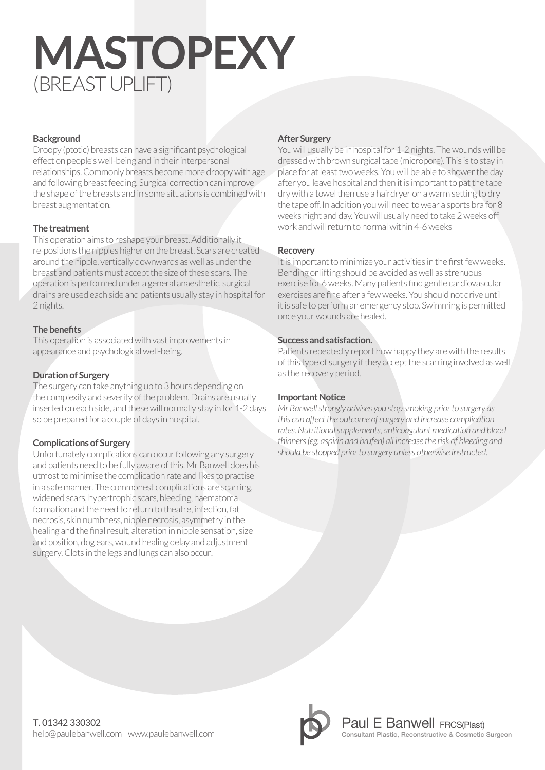# **MASTOPEXY** (BREAST UPLIFT)

#### **Background**

Droopy (ptotic) breasts can have a significant psychological effect on people's well-being and in their interpersonal relationships. Commonly breasts become more droopy with age and following breast feeding. Surgical correction can improve the shape of the breasts and in some situations is combined with breast augmentation.

#### **The treatment**

This operation aims to reshape your breast. Additionally it re-positions the nipples higher on the breast. Scars are created around the nipple, vertically downwards as well as under the breast and patients must accept the size of these scars. The operation is performed under a general anaesthetic, surgical drains are used each side and patients usually stay in hospital for 2 nights.

#### **The benefits**

This operation is associated with vast improvements in appearance and psychological well-being.

#### **Duration of Surgery**

The surgery can take anything up to 3 hours depending on the complexity and severity of the problem. Drains are usually inserted on each side, and these will normally stay in for 1-2 days so be prepared for a couple of days in hospital.

#### **Complications of Surgery**

Unfortunately complications can occur following any surgery and patients need to be fully aware of this. Mr Banwell does his utmost to minimise the complication rate and likes to practise in a safe manner. The commonest complications are scarring, widened scars, hypertrophic scars, bleeding, haematoma formation and the need to return to theatre, infection, fat necrosis, skin numbness, nipple necrosis, asymmetry in the healing and the final result, alteration in nipple sensation, size and position, dog ears, wound healing delay and adjustment surgery. Clots in the legs and lungs can also occur.

#### **After Surgery**

You will usually be in hospital for 1-2 nights. The wounds will be dressed with brown surgical tape (micropore). This is to stay in place for at least two weeks. You will be able to shower the day after you leave hospital and then it is important to pat the tape dry with a towel then use a hairdryer on a warm setting to dry the tape off. In addition you will need to wear a sports bra for 8 weeks night and day. You will usually need to take 2 weeks off work and will return to normal within 4-6 weeks

#### **Recovery**

It is important to minimize your activities in the first few weeks. Bending or lifting should be avoided as well as strenuous exercise for 6 weeks. Many patients find gentle cardiovascular exercises are fine after a few weeks. You should not drive until it is safe to perform an emergency stop. Swimming is permitted once your wounds are healed.

#### **Success and satisfaction.**

Patients repeatedly report how happy they are with the results of this type of surgery if they accept the scarring involved as well as the recovery period.

#### **Important Notice**

*Mr Banwell strongly advises you stop smoking prior to surgery as this can affect the outcome of surgery and increase complication rates. Nutritional supplements, anticoagulant medication and blood thinners (eg. aspirin and brufen) all increase the risk of bleeding and should be stopped prior to surgery unless otherwise instructed.*